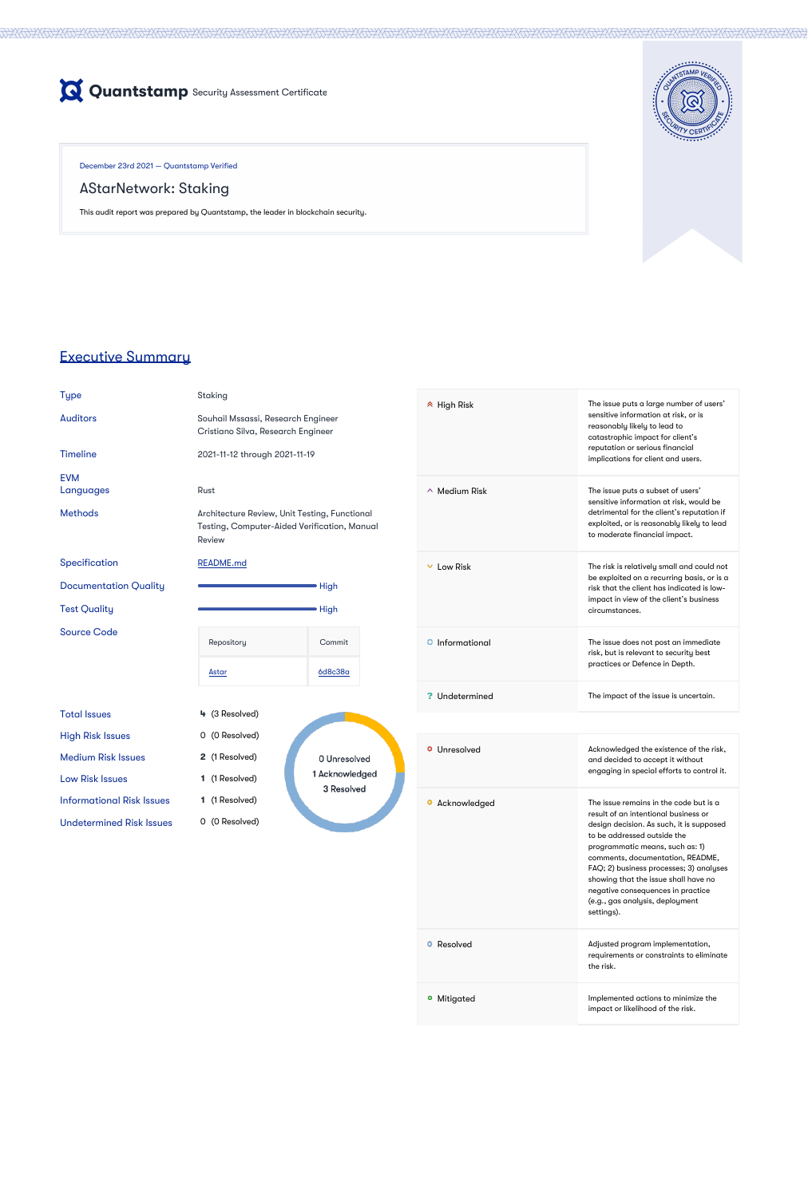

December 23rd 2021 — Quantstamp Verified

## AStarNetwork: Staking

This audit report was prepared by Quantstamp, the leader in blockchain security.



# Executive Summary

Undetermined Risk Issues 0 (0 Resolved)

Type Staking

Auditors Souhail Mssassi, Research Engineer Cristiano Silva, Research Engineer

|                                  | Cristiano Silva, Research Engineer                                                                             |                              |  |
|----------------------------------|----------------------------------------------------------------------------------------------------------------|------------------------------|--|
| <b>Timeline</b>                  | 2021-11-12 through 2021-11-19                                                                                  |                              |  |
| <b>EVM</b><br>Languages          | Rust                                                                                                           |                              |  |
| <b>Methods</b>                   | Architecture Review, Unit Testing, Functional<br>Testing, Computer-Aided Verification, Manual<br><b>Review</b> |                              |  |
| Specification                    | <b>README.md</b>                                                                                               |                              |  |
| <b>Documentation Quality</b>     |                                                                                                                | <b>High</b>                  |  |
| <b>Test Quality</b>              |                                                                                                                | <b>High</b>                  |  |
| <b>Source Code</b>               | Repository                                                                                                     | Commit                       |  |
|                                  | <u>Astar</u>                                                                                                   | <u>6d8c38a</u>               |  |
| <b>Total Issues</b>              | 4 (3 Resolved)                                                                                                 |                              |  |
| <b>High Risk Issues</b>          | 0 (0 Resolved)                                                                                                 |                              |  |
| <b>Medium Risk Issues</b>        | 2 (1 Resolved)                                                                                                 | 0 Unresolved                 |  |
| <b>Low Risk Issues</b>           | (1 Resolved)<br>1                                                                                              | 1 Acknowledged<br>3 Resolved |  |
| <b>Informational Risk Issues</b> | (1 Resolved)<br>1.                                                                                             |                              |  |

High Risk The issue puts a large number of users' sensitive information at risk, or is reasonably likely to lead to catastrophic impact for client's reputation or serious financial

implications for client and users.

Medium Risk The issue puts a subset of users' sensitive information at risk, would be detrimental for the client's reputation if exploited, or is reasonably likely to lead to moderate financial impact. Low Risk The risk is relatively small and could not be exploited on a recurring basis, or is a risk that the client has indicated is lowimpact in view of the client's business circumstances. **Informational Community Community** The issue does not post an immediate risk, but is relevant to security best practices or Defence in Depth. Undetermined The impact of the issue is uncertain. **O** Unresolved **Acknowledged the existence of the risk,** and decided to accept it without engaging in special efforts to control it. **O** Acknowledged **The issue remains in the code but is a** result of an intentional business or design decision. As such, it is supposed to be addressed outside the programmatic means, such as: 1) comments, documentation, README, FAQ; 2) business processes; 3) analyses showing that the issue shall have no negative consequences in practice

|                                | (e.g., gas analysis, deployment<br>settings).                                             |
|--------------------------------|-------------------------------------------------------------------------------------------|
| Resolved<br>$\mathbf{\bullet}$ | Adjusted program implementation,<br>requirements or constraints to eliminate<br>the risk. |
| Mitigated<br>$\bullet$         | Implemented actions to minimize the<br>impact or likelihood of the risk.                  |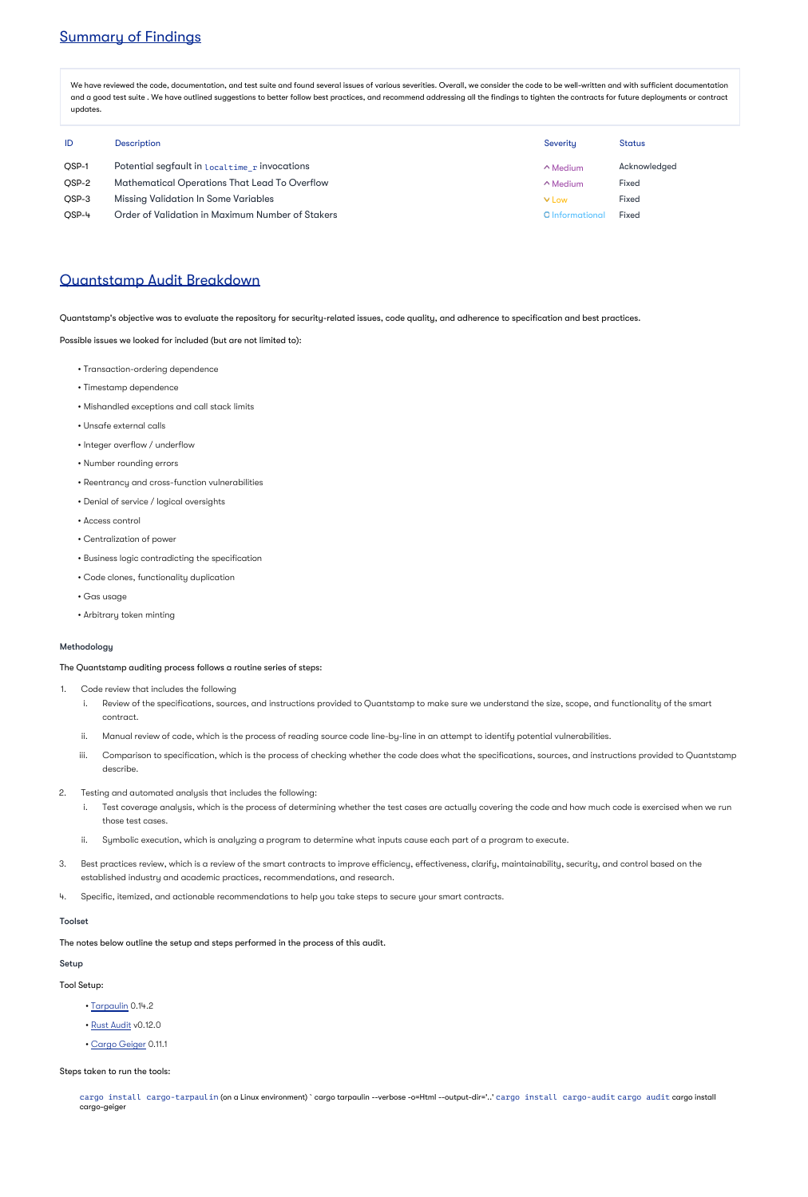# Summary of Findings

We have reviewed the code, documentation, and test suite and found several issues of various severities. Overall, we consider the code to be well-written and with sufficient documentation and a good test suite . We have outlined suggestions to better follow best practices, and recommend addressing all the findings to tighten the contracts for future deployments or contract updates.

| ID           | <b>Description</b>                                   | Severity        | Status       |
|--------------|------------------------------------------------------|-----------------|--------------|
| <b>OSP-1</b> | Potential segfault in Localtime r invocations        | $\wedge$ Medium | Acknowledged |
| OSP-2        | <b>Mathematical Operations That Lead To Overflow</b> | $\wedge$ Medium | <b>Fixed</b> |
| OSP-3        | <b>Missing Validation In Some Variables</b>          | $\vee$ Low      | <b>Fixed</b> |
| OSP-4        | Order of Validation in Maximum Number of Stakers     | O Informational | <b>Fixed</b> |

## Quantstamp Audit Breakdown

Quantstamp's objective was to evaluate the repository for security-related issues, code quality, and adherence to specification and best practices.

Possible issues we looked for included (but are not limited to):

- Transaction-ordering dependence
- Timestamp dependence
- Mishandled exceptions and call stack limits
- Unsafe external calls
- Integer overflow / underflow
- Number rounding errors
- Reentrancy and cross-function vulnerabilities
- Denial of service / logical oversights
- Access control
- Centralization of power
- Business logic contradicting the specification
- Code clones, functionality duplication
- Gas usage
- Arbitrary token minting

## Methodology

The Quantstamp auditing process follows a routine series of steps:

cargo install cargo-tarpaulin (on a Linux environment) `cargo tarpaulin --verbose -o=Html --output-dir='..' cargo install cargo-audit cargo audit cargo install cargo-geiger

- 1. Code review that includes the following
	- i. Review of the specifications, sources, and instructions provided to Quantstamp to make sure we understand the size, scope, and functionality of the smart contract.
	- ii. Manual review of code, which is the process of reading source code line-by-line in an attempt to identify potential vulnerabilities.
	- iii. Comparison to specification, which is the process of checking whether the code does what the specifications, sources, and instructions provided to Quantstamp describe.
- 2. Testing and automated analysis that includes the following:
	- i. Test coverage analysis, which is the process of determining whether the test cases are actually covering the code and how much code is exercised when we run those test cases.
	- ii. Symbolic execution, which is analyzing a program to determine what inputs cause each part of a program to execute.
- 3. Best practices review, which is a review of the smart contracts to improve efficiency, effectiveness, clarify, maintainability, security, and control based on the established industry and academic practices, recommendations, and research.
- 
- 4. Specific, itemized, and actionable recommendations to help you take steps to secure your smart contracts.

## Toolset

The notes below outline the setup and steps performed in the process of this audit.

#### Setup

Tool Setup:

- [Tarpaulin](https://github.com/xd009642/tarpaulin) 0.14.2
- [Rust Audit](https://github.com/RustSec/cargo-audit) v0.12.0
- [Cargo Geiger](https://github.com/rust-secure-code/cargo-geiger) 0.11.1

Steps taken to run the tools: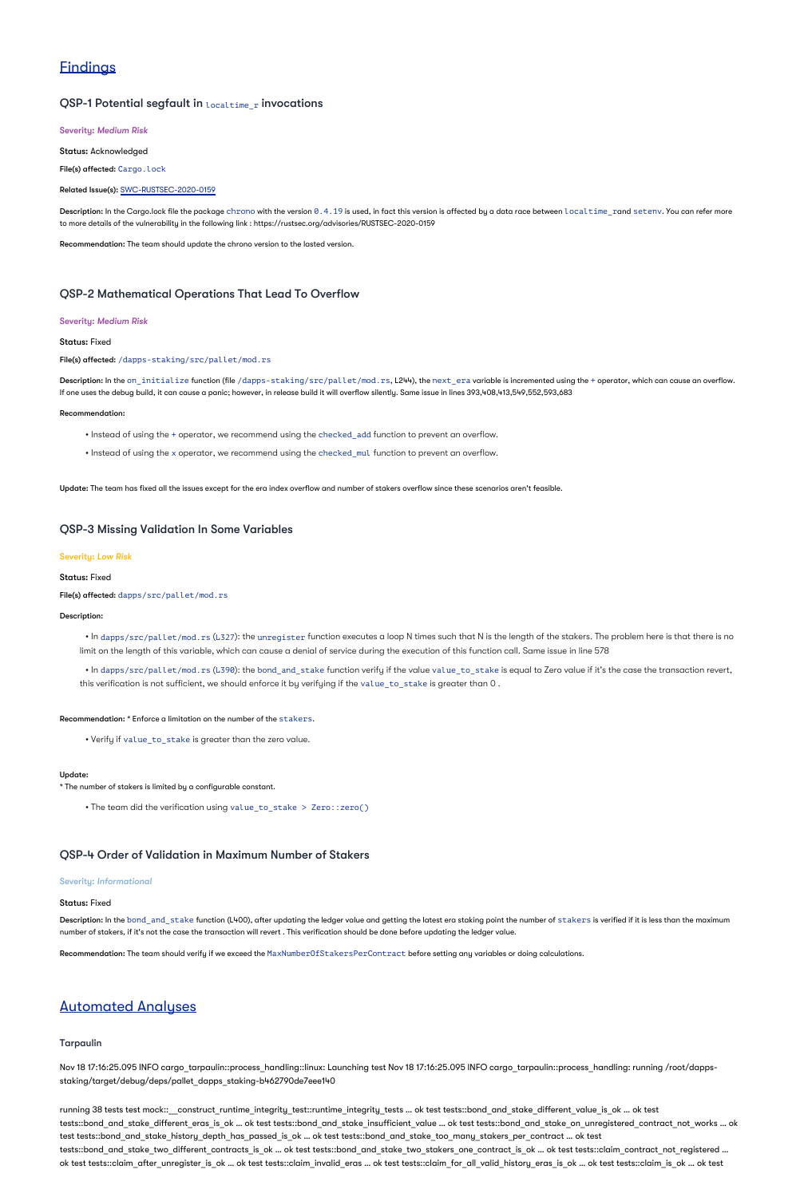# **Findings**

## QSP-1 Potential segfault in localtime r invocations

Severity: *Medium Risk*

Status: Acknowledged

File(s) affected: Cargo.lock

Related Issue(s): [SWC-RUSTSEC-2020-0159](https://smartcontractsecurity.github.io/SWC-registry/docs/SWC-RUSTSEC-2020-0159)

 $\sf Description:$  In the Cargo.lock file the package ch $\sf r$ ono with the version  $\theta$  .  $4$  .  $19$  is used, in fact this version is affected by a data race between <code>localtime\_rand</code> <code>setenv.</code> You can refer more to more details of the vulnerability in the following link : https://rustsec.org/advisories/RUSTSEC-2020-0159

Description: In the on\_initialize function (file /dapps-staking/src/pallet/mod.rs, L244), the next\_era variable is incremented using the + operator, which can cause an overflow. If one uses the debug build, it can cause a panic; however, in release build it will overflow silently. Same issue in lines 393,408,413,549,552,593,683

Recommendation: The team should update the chrono version to the lasted version.

## QSP-2 Mathematical Operations That Lead To Overflow

### Severity: *Medium Risk*

## Status: Fixed

File(s) affected: /dapps-staking/src/pallet/mod.rs

 $\bullet$  In dapps/src/pallet/mod.rs (L327): the unregister function executes a loop N times such that N is the length of the stakers. The problem here is that there is no limit on the length of this variable, which can cause a denial of service during the execution of this function call. Same issue in line 578

 $\bullet$  In dapps/src/pallet/mod.rs (L390): the bond\_and\_stake function verify if the value\_to\_stake is equal to Zero value if it's the case the transaction revert, this verification is not sufficient, we should enforce it by verifying if the value\_to\_stake is greater than 0 .

### Recommendation:

• Instead of using the + operator, we recommend using the checked add function to prevent an overflow.

• Instead of using the x operator, we recommend using the checked\_mul function to prevent an overflow.

Update: The team has fixed all the issues except for the era index overflow and number of stakers overflow since these scenarios aren't feasible.

Description: In the bond\_and\_stake function (L400), after updating the ledger value and getting the latest era staking point the number of stakers is verified if it is less than the maximum number of stakers, if it's not the case the transaction will revert . This verification should be done before updating the ledger value.

## QSP-3 Missing Validation In Some Variables

## Severity: *Low Risk*

Status: Fixed

File(s) affected: dapps/src/pallet/mod.rs

Description:

Recommendation: \* Enforce a limitation on the number of the stakers.

• Verify if value\_to\_stake is greater than the zero value.

\* The number of stakers is limited by a configurable constant.

Update:

• The team did the verification using value\_to\_stake > Zero::zero()

## QSP-4 Order of Validation in Maximum Number of Stakers

### Severity: *Informational*

### Status: Fixed

Recommendation: The team should verify if we exceed the MaxNumberOfStakersPerContract before setting any variables or doing calculations.

## Automated Analyses

## Tarpaulin

Nov 18 17:16:25.095 INFO cargo\_tarpaulin::process\_handling::linux: Launching test Nov 18 17:16:25.095 INFO cargo\_tarpaulin::process\_handling: running /root/dappsstaking/target/debug/deps/pallet\_dapps\_staking-b462790de7eee140

running 38 tests test mock::\_\_construct\_runtime\_integrity\_test::runtime\_integrity\_tests … ok test tests::bond\_and\_stake\_different\_value\_is\_ok … ok test tests::bond\_and\_stake\_different\_eras\_is\_ok … ok test tests::bond\_and\_stake\_insufficient\_value … ok test tests::bond\_and\_stake\_on\_unregistered\_contract\_not\_works … ok test tests::bond\_and\_stake\_history\_depth\_has\_passed\_is\_ok … ok test tests::bond\_and\_stake\_too\_many\_stakers\_per\_contract … ok test tests::bond and stake\_two\_different\_contracts\_is\_ok … ok test tests::bond\_and\_stake\_two\_stakers\_one\_contract\_is\_ok … ok test tests::claim\_contract\_not\_registered … ok test tests::claim\_after\_unregister\_is\_ok … ok test tests::claim\_invalid\_eras … ok test tests::claim\_for\_all\_valid\_history\_eras\_is\_ok … ok test tests::claim\_is\_ok … ok test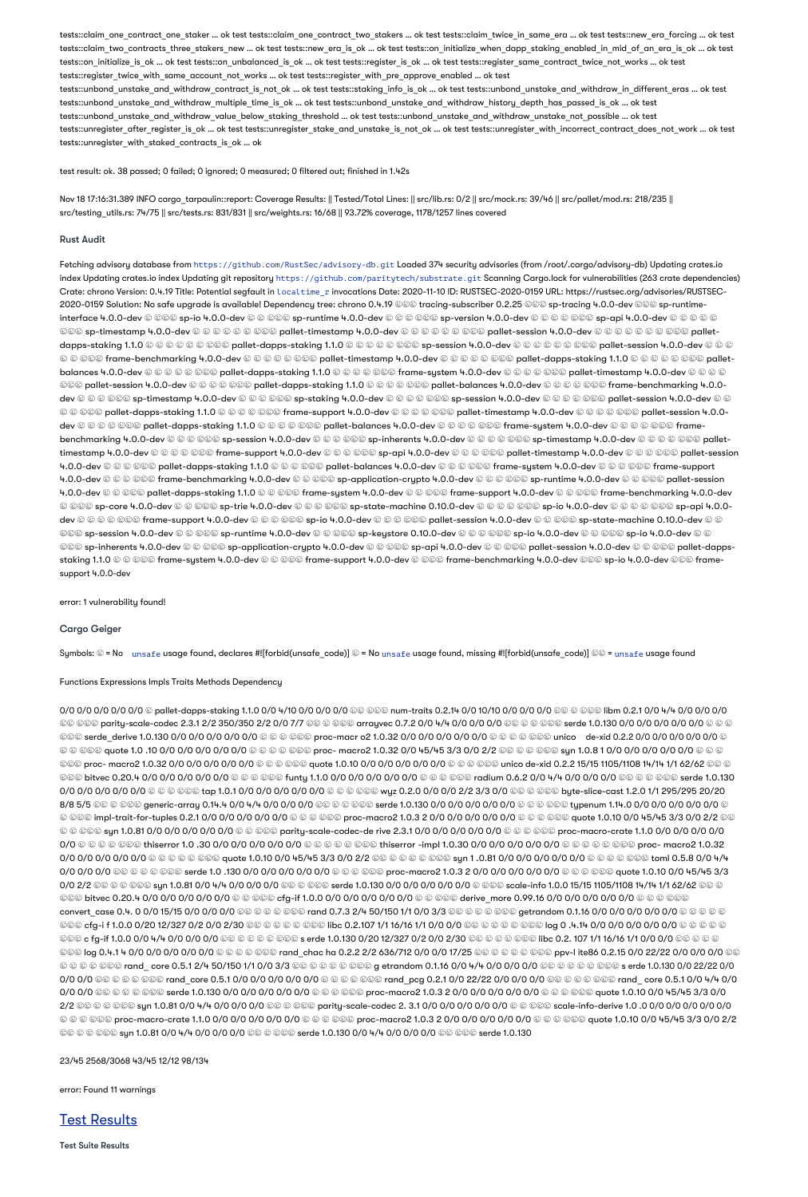tests::claim\_one\_contract\_one\_staker … ok test tests::claim\_one\_contract\_two\_stakers … ok test tests::claim\_twice\_in\_same\_era … ok test tests::new\_era\_forcing … ok test tests::claim\_two\_contracts\_three\_stakers\_new … ok test tests::new\_era\_is\_ok … ok test tests::on\_initialize\_when\_dapp\_staking\_enabled\_in\_mid\_of\_an\_era\_is\_ok … ok test tests::on\_initialize\_is\_ok … ok test tests::on\_unbalanced\_is\_ok … ok test tests::register\_is\_ok … ok test tests::register\_same\_contract\_twice\_not\_works … ok test tests::register\_twice\_with\_same\_account\_not\_works … ok test tests::register\_with\_pre\_approve\_enabled … ok test tests::unbond\_unstake\_and\_withdraw\_contract\_is\_not\_ok … ok test tests::staking\_info\_is\_ok … ok test tests::unbond\_unstake\_and\_withdraw\_in\_different\_eras … ok test tests::unbond\_unstake\_and\_withdraw\_multiple\_time\_is\_ok … ok test tests::unbond\_unstake\_and\_withdraw\_history\_depth\_has\_passed\_is\_ok … ok test tests::unbond\_unstake\_and\_withdraw\_value\_below\_staking\_threshold … ok test tests::unbond\_unstake\_and\_withdraw\_unstake\_not\_possible … ok test tests::unregister after register is ok ... ok test tests::unregister stake and unstake is not ok ... ok test tests::unregister with incorrect contract does not work ... ok test tests::unregister\_with\_staked\_contracts\_is\_ok … ok

test result: ok. 38 passed; 0 failed; 0 ignored; 0 measured; 0 filtered out; finished in 1.42s

Nov 18 17:16:31.389 INFO cargo\_tarpaulin::report: Coverage Results: || Tested/Total Lines: || src/lib.rs: 0/2 || src/mock.rs: 39/46 || src/pallet/mod.rs: 218/235 || src/testing\_utils.rs: 74/75 || src/tests.rs: 831/831 || src/weights.rs: 16/68 || 93.72% coverage, 1178/1257 lines covered

## Rust Audit

Fetching advisory database from https://github.com/RustSec/advisory-db.git Loaded 374 security advisories (from /root/.cargo/advisory-db) Updating crates.io index Updating crates.io index Updating git repository https://github.com/paritytech/substrate.git Scanning Cargo.lock for vulnerabilities (263 crate dependencies) Crate: chrono Version: 0.4.19 Title: Potential segfault in <code>localtime\_r</code> invocations Date: 2020-11-10 ID: RUSTSEC-2020-0159 URL: https://rustsec.org/advisories/RUSTSEC-2020-0159 Solution: No safe upgrade is available! Dependency tree: chrono 0.4.19 ©©© tracing-subscriber 0.2.25 ©©© sp-tracing 4.0.0-dev ©©© sp-runtimeinterface 4.0.0-dev │ ├── sp-io 4.0.0-dev │ │ ├── sp-runtime 4.0.0-dev │ │ │ ├── sp-version 4.0.0-dev │ │ │ │ ├── sp-api 4.0.0-dev │ │ │ │ │ ۩© sp-timestamp 4.0.0-dev © © © © © © © Dallet-timestamp 4.0.0-dev © © © © © © © pallet-session 4.0.0-dev © © © © © © © © Dalletdapps-staking 1.1.0 © © © © © © © Dallet-dapps-staking 1.1.0 © © © © © © \$p-session 4.0.0-dev © © © © © © © © © © © © © ©©© frame-benchmarking 4.0.0-dev © © © © © © pallet-timestamp 4.0.0-dev © © © © © © © pallet-dapps-staking 1.1.0 © © © © © © © palletbalances 4.0.0-dev © © © © © © pallet-dapps-staking 1.1.0 © © © © © © frame-system 4.0.0-dev © © © © © © © © © © © © © © © © ©©© pallet-session 4.0.0-dev © © © © ©©© pallet-dapps-staking 1.1.0 © © © © © © pallet-balances 4.0.0-dev © © © © © © Frame-benchmarking 4.0.0dev © © ©©© sp-timestamp 4.0.0-dev © © ©©© sp-staking 4.0.0-dev © © © ©©© sp-session 4.0.0-dev © © © © © © © © © © © © © © ©©© pallet-dapps-staking 1.1.0 © © © © ©©© frame-support 4.0.0-dev © © © © © pallet-timestamp 4.0.0-dev © © © © © © pallet-session 4.0.0dev © © © © ©© pallet-dapps-staking 1.1.0 © © © © © pallet-balances 4.0.0-dev © © © © © frame-system 4.0.0-dev © © © © © © framebenchmarking 4.0.0-dev © © © © sp-session 4.0.0-dev © © © © © sp-inherents 4.0.0-dev © © © © © © © © © © © © © © © Dallettimestamp 4.0.0-dev © © © © © © frame-support 4.0.0-dev © © © © sp-api 4.0.0-dev © © © © pallet-timestamp 4.0.0-dev © © © © © pallet-session 4.0.0-dev ☺ ☺ ☺ ☺ ☺ pallet-dapps-staking 1.1.0 ☺ ☺ ☺ ☺ ☺ ☺ pallet-balances 4.0.0-dev ☺ ☺ ☺ ☺ ☺ ෙ system 4.0.0-dev ☺ ☺ ☺ ☺ ☺ ☺ ☺ ෙ 4.0.0-dev ☺ ☺ ☺ ☺☺☺ frame-benchmarking 4.0.0-dev ☺ ☺☺☺ sp-application-crypto 4.0.0-dev ☺ ☺ ☺☺☺ sp-runtime 4.0.0-dev ☺ ☺ ☺☺☺ pallet-session 4.0.0-dev © © ©©© pallet-dapps-staking 1.1.0 © © ©©© frame-system 4.0.0-dev © © ©© frame-support 4.0.0-dev © © ©©© frame-benchmarking 4.0.0-dev © ©©© sp-core 4.0.0-dev © © ©©© sp-trie 4.0.0-dev © © ©©© sp-state-machine 0.10.0-dev © © © ©© sp-io 4.0.0-dev © © © © © © sp-api 4.0.0dev © © © © ©© frame-support 4.0.0-dev © © © ©© sp-io 4.0.0-dev © © ©©© pallet-session 4.0.0-dev © © © © © Sp-state-machine 0.10.0-dev © © ©©© sp-session 4.0.0-dev © © ©©© sp-runtime 4.0.0-dev © © ©©© sp-keystore 0.10.0-dev © © © ©© sp-io 4.0.0-dev © © © © © © © © © © © \$p-io 4.0.0-dev © © ©©© sp-inherents 4.0.0-dev © © ©©© sp-application-crypto 4.0.0-dev © © ©©© sp-api 4.0.0-dev © © © © © © © Dallet-dappsstaking 1.1.0 © © ©©© frame-system 4.0.0-dev © ©©© frame-support 4.0.0-dev © ©©© frame-benchmarking 4.0.0-dev ©©© sp-io 4.0.0-dev ©©© framesupport 4.0.0-dev

### error: 1 vulnerability found!

## Cargo Geiger

Symbols:  $\circledast$  = No unsafe usage found, declares #![forbid(unsafe\_code)]  $\circledast$  = No unsafe usage found, missing #![forbid(unsafe\_code)]  $\circledast$  = unsafe usage found

### Functions Expressions Impls Traits Methods Dependency

0/0 0/0 0/0 0/0 0/0 © pallet-dapps-staking 1.1.0 0/0 4/10 0/0 0/0 ©© ©©© num-traits 0.2.14 0/0 10/10 0/0 0/0 0/0 0/0 ©© © ©©© libm 0.2.1 0/0 4/4 0/0 0/0 0/0 ☢️ ├── parity-scale-codec 2.3.1 2/2 350/350 2/2 0/0 7/7 ☢️ │ ├── arrayvec 0.7.2 0/0 4/4 0/0 0/0 0/0 ☢️ │ │ └── serde 1.0.130 0/0 0/0 0/0 0/0 0/0 ❓ │ │ ©©© serde\_derive 1.0.130 0/0 0/0 0/0 0/0 0/0 © © © ©©© proc-macr o2 1.0.32 0/0 0/0 0/0 0/0 0/0 ⊕ © © © © © unico de-xid 0.2.2 0/0 0/0 0/0 0/0 0/0 0/0 © © © © 0/0 0/0 0/0 0/0 0/0 0/0 ⊙ © © © © © proc- macro2 1.0.32 0/0 45/45 3/3 0/0 2/2 © © © © © © guote 1.0 .0 0/0 0/0 0/0 ⊙ © © ©©© proc- macro2 1.0.32 0/0 0/0 0/0 0/0 0/0 ම ම ම ම ම අuote 1.0.10 0/0 0/0 0/0 0/0 0/0 ම ම ම ම ම යාico de-xid 0.2.2 15/15 1105/1108 14/14 1/1 62/62 ම ම ම ©©© bitvec 0.20.4 0/0 0/0 0/0 0/0 0/0 ම ම ම මම funty 1.1.0 0/0 0/0 0/0 0/0 ම ම ම ම ම radium 0.6.2 0/0 4/4 0/0 0/0 0/0 මම ම ම ම ම පෙ serde 1.0.130 0/0 0/0 0/0 0/0 0/0 ☺ ☺ ☺ ☺☺☺ tap 1.0.1 0/0 0/0 0/0 0/0 0/0 ☺ ☺ ☺☺☺ wyz 0.2.0 0/0 0/0 2/2 3/3 0/0 ☺☺ ☺ ☺☺☺ byte-slice-cast 1.2.0 1/1 295/295 20/20 8/8 5/5 ♦ ♦ 3000 B & 8000 generic-array 0.14.4 0/0 4/4 0/0 0/0 0/0 ♦ ♦ 800 serde 1.0.130 0/0 0/0 0/0 0/0 0/0 ♦ 4 typenum 1.14.0 0/0 0/0 0/0 0/0 0/0 0/0 \$ © ©©© impl-trait-for-tuples 0.2.1 0/0 0/0 0/0 0/0 ⊙ © © ©©© proc-macro2 1.0.3 2 0/0 0/0 0/0 0/0 0/0 © © © © © quote 1.0.10 0/0 45/45 3/3 0/0 2/2 ©© © © ©©© syn 1.0.81 0/0 0/0 0/0 0/0 0/0 © © ©©© parity-scale-codec-de rive 2.3.1 0/0 0/0 0/0 0/0 0/0 ⊕ © © © © © proc-macro-crate 1.1.0 0/0 0/0 0/0 0/0 0/0 ❓ │ │ │ ├── thiserror 1.0 .30 0/0 0/0 0/0 0/0 0/0 ❓ │ │ │ │ └── thiserror -impl 1.0.30 0/0 0/0 0/0 0/0 0/0 ❓ │ │ │ │ ├── proc- macro2 1.0.32 0/0 0/0 0/0 0/0 0/0 ۞ ۞ ۞ ۞ ۞ @ @ quote 1.0.10 0/0 45/45 3/3 0/0 2/2 ۞ ۞ ۞ ۞ ۞ ۞ \$ yn 1 .0.81 0/0 0/0 0/0 0/0 0/0 0/0 ۞ ۞ ۞ ۞ ۞ #0 toml 0.5.8 0/0 4/4 0/0 0/0 0/0 ◎② ② ③ ③ ④ Serde 1.0 .130 0/0 0/0 0/0 ① ④ ④ ④ ④ ④ ② proc-macro2 1.0.3 2 0/0 0/0 0/0 0/0 ④ ⑤ ⑤ ⑤ ⊙ ④ ⑥ 010 0/0 0/0 0/0 6/9 6 ℃ 0/0 2/2 ☺☺ ☺ ☺ ☺☺☺ syn 1.0.81 0/0 4/4 0/0 0/0 0/0 ☺☺ ☺ ☺☺☺ serde 1.0.130 0/0 0/0 0/0 0/0 0/0 ☺ ☺☺☺ scale-info 1.0.0 15/15 1105/1108 14/14 1/1 62/62 ☺☺ ☺ මමම bitvec 0.20.4 0/0 0/0 0/0 0/0 0/0 ම ම මමම cfg-if 1.0.0 0/0 0/0 0/0 0/0 ම ම මමම derive more 0.99.16 0/0 0/0 0/0 0/0 0/0 0/0 ම ම ම මමම convert\_case 0.4. 0 0/0 15/15 0/0 0/0 0/0 ☺☺ ☺ ☺ ☺ ☺☺️ rand 0.7.3 2/4 50/150 1/1 0/0 3/3 ☺☺ ☺ ☺ ☺ ☺ ☺ ☺ ☺ ☺ ☺ ☺ etrandom 0.1.16 0/0 0/0 0/0 0/0 0/0 0/0 ☺ ☺ ☺ ☺ ☺ ©©© cfg-i f 1.0.0 0/20 12/327 0/2 0/0 2/30 ©© © © ©©© libc 0.2.107 1/1 16/16 1/1 0/0 0/0 ©© © © © © © © © ∣og 0 .4.14 0/0 0/0 0/0 0/0 ⊙ © © © © ©©© c fg-if 1.0.0 0/0 4/4 0/0 0/0 0/0 ©© © © © © © c erde 1.0.130 0/20 12/327 0/2 0/0 2/30 ©© © © © © © © © © libc 0.2. 107 1/1 16/16 1/1 0/0 0/0 ©© © © © ©©© log 0.4.1 4 0/0 0/0 0/0 0/0 0/0 © © © © © cand chac ha 0.2.2 2/2 636/712 0/0 0/0 17/25 ©© © © © © © © © ppv-l ite86 0.2.15 0/0 22/22 0/0 0/0 0/0 © © © © © © © © rand core 0.5.1 2/4 50/150 1/1 0/0 3/3 © © © © © © © © g etrandom 0.1.16 0/0 4/4 0/0 0/0 0/0 © © © © © © © © Serde 1.0.130 0/0 22/22 0/0 0/0 0/0 ©© © © © ©©© rand\_core 0.5.1 0/0 0/0 0/0 0/0 © © © © © © cand\_pcg 0.2.1 0/0 22/22 0/0 0/0 0/0 © © © © © © © rand\_core 0.5.1 0/0 4/4 0/0 0/0 0/0 ☺☺ ☺ ☺ ☺ ☺☺☺ serde 1.0.130 0/0 0/0 0/0 0/0 ⊙ ☺ ☺ ☺☺☺ proc-macro2 1.0.3 2 0/0 0/0 0/0 0/0 0/0 ☺ ☺ ☺☺☺ quote 1.0.10 0/0 45/45 3/3 0/0 2/2 ☢️ │ │ └── syn 1.0.81 0/0 4/4 0/0 0/0 0/0 ☢️ │ ├── parity-scale-codec 2. 3.1 0/0 0/0 0/0 0/0 0/0 ❓ │ ├── scale-info-derive 1.0 .0 0/0 0/0 0/0 0/0 0/0 ☺ ☺ ☺ ☺☺☺ proc-macro-crate 1.1.0 0/0 0/0 0/0 0/0 0/0 ☺ ☺ ☺☺☺ proc-macro2 1.0.3 2 0/0 0/0 0/0 0/0 0/0 ☺ ☺ ☺ ☺☺☺ quote 1.0.10 0/0 45/45 3/3 0/0 2/2 ©© © © ©©© syn 1.0.81 0/0 4/4 0/0 0/0 0/0 ©© © ©©© serde 1.0.130 0/0 4/4 0/0 0/0 0/0 ©© ©©© serde 1.0.130

23/45 2568/3068 43/45 12/12 98/134

error: Found 11 warnings

Test Results

Test Suite Results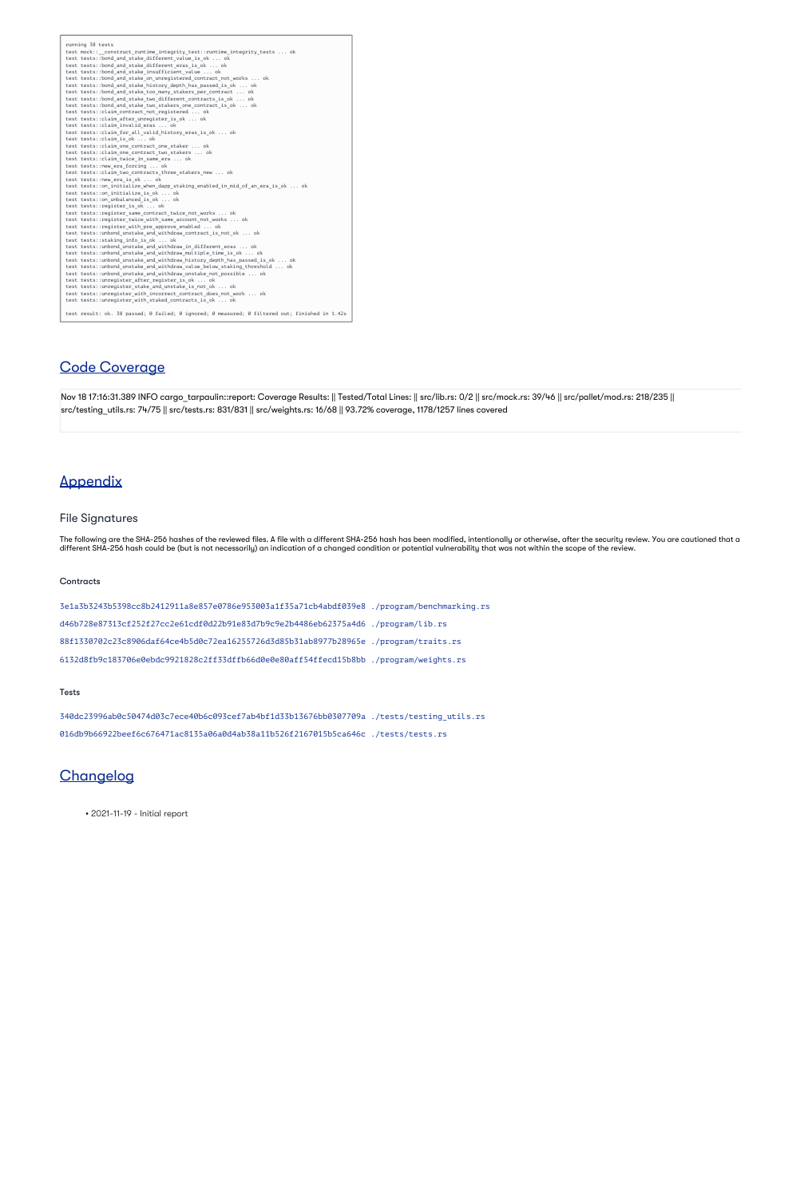running 38 tests test mock::\_\_construct\_runtime\_integrity\_test::runtime\_integrity\_tests ... ok test tests::bond\_and\_stake\_different\_value\_is\_ok ... ok test tests::bond\_and\_stake\_different\_eras\_is\_ok ... ok test tests::bond\_and\_stake\_insufficient\_value ... ok test tests::bond\_and\_stake\_on\_unregistered\_contract\_not\_works ... ok test tests::bond\_and\_stake\_history\_depth\_has\_passed\_is\_ok ... ok test tests::bond\_and\_stake\_too\_many\_stakers\_per\_contract ... ok test tests::bond\_and\_stake\_two\_different\_contracts\_is\_ok ... ok test tests::bond\_and\_stake\_two\_stakers\_one\_contract\_is\_ok ... ok test tests::claim\_contract\_not\_registered ... ok test tests::claim\_after\_unregister\_is\_ok ... ok test tests::claim\_invalid\_eras ... ok test tests::claim\_for\_all\_valid\_history\_eras\_is\_ok ... ok test tests::claim\_is\_ok ... ok test tests::claim\_one\_contract\_one\_staker ... ok test tests::claim\_one\_contract\_two\_stakers ... ok test tests::claim\_twice\_in\_same\_era ... ok test tests::new\_era\_forcing ... ok test tests::claim\_two\_contracts\_three\_stakers\_new ... ok test tests::new\_era\_is\_ok ... ok test tests::on\_initialize\_when\_dapp\_staking\_enabled\_in\_mid\_of\_an\_era\_is\_ok ... ok test tests::on\_initialize\_is\_ok ... ok test tests::on\_unbalanced\_is\_ok ... ok test tests::register\_is\_ok ... ok test tests::register\_same\_contract\_twice\_not\_works ... ok test tests::register\_twice\_with\_same\_account\_not\_works ... ok test tests::register\_with\_pre\_approve\_enabled ... ok test tests::unbond\_unstake\_and\_withdraw\_contract\_is\_not\_ok ... ok test tests::staking\_info\_is\_ok ... ok test tests::unbond\_unstake\_and\_withdraw\_in\_different\_eras ... ok test tests::unbond\_unstake\_and\_withdraw\_multiple\_time\_is\_ok ... ok test tests::unbond\_unstake\_and\_withdraw\_history\_depth\_has\_passed\_is\_ok ... ok test tests::unbond\_unstake\_and\_withdraw\_value\_below\_staking\_threshold ... ok test tests::unbond\_unstake\_and\_withdraw\_unstake\_not\_possible ... ok test tests::unregister\_after\_register\_is\_ok ... ok test tests::unregister\_stake\_and\_unstake\_is\_not\_ok ... ok test tests::unregister\_with\_incorrect\_contract\_does\_not\_work ... ok test tests::unregister\_with\_staked\_contracts\_is\_ok ... ok test result: ok. 38 passed; 0 failed; 0 ignored; 0 measured; 0 filtered out; finished in 1.42s

## Code Coverage

Nov 18 17:16:31.389 INFO cargo\_tarpaulin::report: Coverage Results: || Tested/Total Lines: || src/lib.rs: 0/2 || src/mock.rs: 39/46 || src/pallet/mod.rs: 218/235 || src/testing\_utils.rs: 74/75 || src/tests.rs: 831/831 || src/weights.rs: 16/68 || 93.72% coverage, 1178/1257 lines covered

## Appendix

## File Signatures

The following are the SHA-256 hashes of the reviewed files. A file with a different SHA-256 hash has been modified, intentionally or otherwise, after the security review. You are cautioned that a different SHA-256 hash could be (but is not necessarily) an indication of a changed condition or potential vulnerability that was not within the scope of the review.

### **Contracts**

3e1a3b3243b5398cc8b2412911a8e857e0786e953003a1f35a71cb4abdf039e8 ./program/benchmarking.rs d46b728e87313cf252f27cc2e61cdf0d22b91e83d7b9c9e2b4486eb62375a4d6 ./program/lib.rs 88f1330702c23c8906daf64ce4b5d0c72ea16255726d3d85b31ab8977b28965e ./program/traits.rs 6132d8fb9c183706e0ebdc9921828c2ff33dffb66d0e0e80aff54ffecd15b8bb ./program/weights.rs

### Tests

340dc23996ab0c50474d03c7ece40b6c093cef7ab4bf1d33b13676bb0307709a ./tests/testing\_utils.rs 016db9b66922beef6c676471ac8135a06a0d4ab38a11b526f2167015b5ca646c ./tests/tests.rs

## **Changelog**

• 2021-11-19 - Initial report